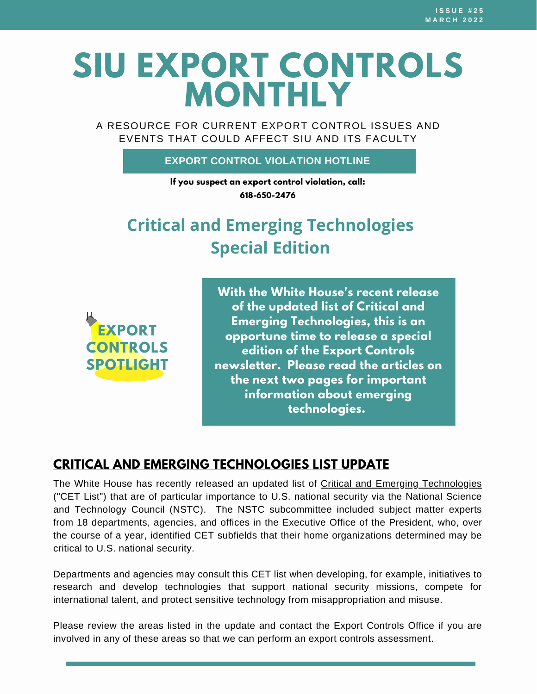# **SIU EXPORT CONTROLS MONTHLY**

A RESOURCE FOR CURRENT EXPORT CONTROL ISSUES AND EVENTS THAT COULD AFFECT SIU AND ITS FACULTY

#### **EXPORT CONTROL VIOLATION HOTLINE**

**If you suspect an export control violation, call: 618-650-2476**

## **Critical and Emerging Technologies Special Edition**

**EXPORT CONTROLS SPOTLIGHT**

**With the White House's recent release of the updated list of Critical and Emerging Technologies, this is an opportune time to release a special edition of the Export Controls newsletter. Please read the articles on the next two pages for important information about emerging technologies.**

### **CRITICAL AND EMERGING [TECHNOLOGIES](https://www.whitehouse.gov/wp-content/uploads/2022/02/02-2022-Critical-and-Emerging-Technologies-List-Update.pdf) LIST UPDATE**

The White House has recently released an updated list of Critical and Emerging [Technologies](https://www.whitehouse.gov/wp-content/uploads/2022/02/02-2022-Critical-and-Emerging-Technologies-List-Update.pdf) ("CET List") that are of particular importance to U.S. national security via the National Science and Technology Council (NSTC). The NSTC subcommittee included subject matter experts from 18 departments, agencies, and offices in the Executive Office of the President, who, over the course of a year, identified CET subfields that their home organizations determined may be critical to U.S. national security.

Departments and agencies may consult this CET list when developing, for example, initiatives to research and develop technologies that support national security missions, compete for international talent, and protect sensitive technology from misappropriation and misuse.

Please review the areas listed in the update and contact the Export Controls Office if you are involved in any of these areas so that we can perform an export controls assessment.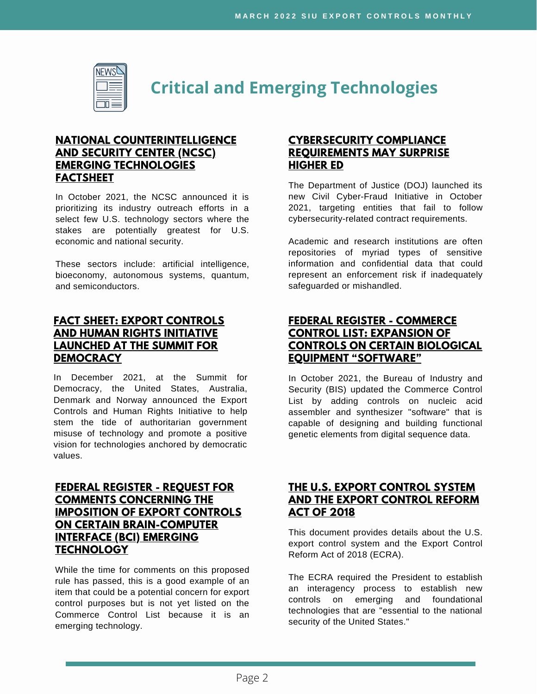

**Critical and Emerging Technologies**

#### **NATIONAL [COUNTERINTELLIGENCE](https://www.dni.gov/files/NCSC/documents/SafeguardingOurFuture/FINAL_NCSC_Emerging%20Technologies_Factsheet_10_22_2021.pdf) AND SECURITY CENTER (NCSC) EMERGING TECHNOLOGIES FACTSHEET**

In October 2021, the NCSC announced it is prioritizing its industry outreach efforts in a select few U.S. technology sectors where the stakes are potentially greatest for U.S. economic and national security.

These sectors include: artificial intelligence, bioeconomy, autonomous systems, quantum, and semiconductors.

#### **FACT SHEET: EXPORT CONTROLS AND HUMAN RIGHTS INITIATIVE LAUNCHED AT THE SUMMIT FOR [DEMOCRACY](https://www.whitehouse.gov/briefing-room/statements-releases/2021/12/10/fact-sheet-export-controls-and-human-rights-initiative-launched-at-the-summit-for-democracy/)**

In December 2021, at the Summit for Democracy, the United States, Australia, Denmark and Norway announced the Export Controls and Human Rights Initiative to help stem the tide of authoritarian government misuse of technology and promote a positive vision for technologies anchored by democratic values.

#### **FEDERAL REGISTER - REQUEST FOR COMMENTS CONCERNING THE IMPOSITION OF EXPORT CONTROLS ON CERTAIN [BRAIN-COMPUTER](https://www.federalregister.gov/documents/2021/10/26/2021-23256/request-for-comments-concerning-the-imposition-of-export-controls-on-certain-brain-computer) INTERFACE (BCI) EMERGING TECHNOLOGY**

While the time for comments on this proposed rule has passed, this is a good example of an item that could be a potential concern for export control purposes but is not yet listed on the Commerce Control List because it is an emerging technology.

#### **[CYBERSECURITY](https://universitybusiness.com/cybersecurity-compliance-requirements-may-surprise-higher-ed/) COMPLIANCE REQUIREMENTS MAY SURPRISE HIGHER ED**

The Department of Justice (DOJ) launched its new Civil Cyber-Fraud Initiative in October 2021, targeting entities that fail to follow cybersecurity-related contract requirements.

Academic and research institutions are often repositories of myriad types of sensitive information and confidential data that could represent an enforcement risk if inadequately safeguarded or mishandled.

#### **FEDERAL REGISTER - COMMERCE CONTROL LIST: EXPANSION OF CONTROLS ON CERTAIN BIOLOGICAL EQUIPMENT ["SOFTWARE"](https://www.federalregister.gov/documents/2021/10/05/2021-21493/commerce-control-list-expansion-of-controls-on-certain-biological-equipment-software#:~:text=Prior%20to%20the%20addition%20of%20nucleic%20acid%20assembler%2Fsynthesizer,of%202018%20%28ECRA%29%20%28codified%20at%2050%20U.S.C.%204817%29.)**

In October 2021, the Bureau of Industry and Security (BIS) updated the Commerce Control List by adding controls on nucleic acid assembler and synthesizer "software" that is capable of designing and building functional genetic elements from digital sequence data.

#### **THE U.S. EXPORT [CONTROL](https://crsreports.congress.gov/product/pdf/R/R46814) SYSTEM AND THE EXPORT CONTROL REFORM ACT OF 2018**

This document provides details about the U.S. export control system and the Export Control Reform Act of 2018 (ECRA).

The ECRA required the President to establish an interagency process to establish new controls on emerging and foundational technologies that are "essential to the national security of the United States."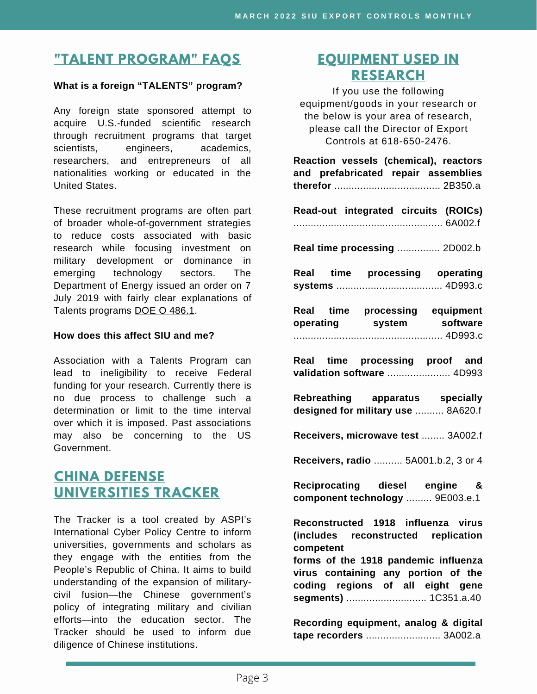### **"TALENT [PROGRAM"](https://siusystem.edu/academic-affairs/export-controls/foreign-talent-programs.shtml) FAQS**

#### **What is a foreign "TALENTS" program?**

Any foreign state sponsored attempt to acquire U.S.-funded scientific research through recruitment programs that target scientists, engineers, academics, researchers, and entrepreneurs of all nationalities working or educated in the United States.

These recruitment programs are often part of broader whole-of-government strategies to reduce costs associated with basic research while focusing investment on military development or dominance in emerging technology sectors. The Department of Energy issued an order on 7 July 2019 with fairly clear explanations of Talents programs DOE O [486.1.](https://www.directives.doe.gov/directives-documents/400-series/0486-1-border/@@images/file)

#### **How does this affect SIU and me?**

Association with a Talents Program can lead to ineligibility to receive Federal funding for your research. Currently there is no due process to challenge such a determination or limit to the time interval over which it is imposed. Past associations may also be concerning to the US Government.

### **CHINA DEFENSE [UNIVERSITIES](https://unitracker.aspi.org.au/) TRACKER**

The Tracker is a tool created by ASPI's International Cyber Policy Centre to inform universities, governments and scholars as they engage with the entities from the People's Republic of China. It aims to build understanding of the expansion of militarycivil fusion—the Chinese government's policy of integrating military and civilian efforts—into the education sector. The Tracker should be used to inform due diligence of Chinese institutions.

### **[EQUIPMENT](https://www.bis.doc.gov/index.php/documents/regulations-docs/2329-commerce-control-list-index-3/file) USED IN RESEARCH**

If you use the following equipment/goods in your research or the below is your area of research, please call the Director of Export Controls at 618-650-2476.

| Reaction vessels (chemical), reactors<br>and prefabricated repair assemblies                     |
|--------------------------------------------------------------------------------------------------|
| Read-out integrated circuits (ROICs)                                                             |
| Real time processing  2D002.b                                                                    |
| Real time processing operating                                                                   |
| Real time processing equipment<br>operating system software                                      |
| Real time processing proof and<br>validation software  4D993                                     |
| Rebreathing apparatus specially<br>designed for military use  8A620.f                            |
| Receivers, microwave test  3A002.f                                                               |
| Receivers, radio  5A001.b.2, 3 or 4                                                              |
| Reciprocating diesel engine &<br>component technology  9E003.e.1                                 |
| Reconstructed 1918 influenza virus<br>(includes reconstructed replication<br>competent           |
| forms of the 1918 pandemic influenza                                                             |
| virus containing any portion of the<br>coding regions of all eight gene<br>segments)  1C351.a.40 |
| Recording equipment, analog & digital<br>tape recorders  3A002.a                                 |